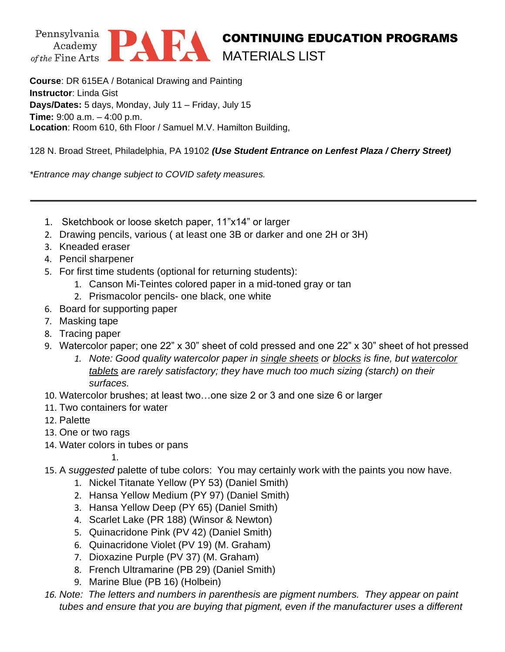



## CONTINUING EDUCATION PROGRAMS MATERIALS LIST

**Course**: DR 615EA / Botanical Drawing and Painting **Instructor**: Linda Gist **Days/Dates:** 5 days, Monday, July 11 – Friday, July 15 **Time:** 9:00 a.m. – 4:00 p.m. **Location**: Room 610, 6th Floor / Samuel M.V. Hamilton Building,

128 N. Broad Street, Philadelphia, PA 19102 *(Use Student Entrance on Lenfest Plaza / Cherry Street)*

*\*Entrance may change subject to COVID safety measures.*

- 1. Sketchbook or loose sketch paper, 11"x14" or larger
- 2. Drawing pencils, various ( at least one 3B or darker and one 2H or 3H)
- 3. Kneaded eraser
- 4. Pencil sharpener
- 5. For first time students (optional for returning students):
	- 1. Canson Mi-Teintes colored paper in a mid-toned gray or tan
	- 2. Prismacolor pencils- one black, one white
- 6. Board for supporting paper
- 7. Masking tape
- 8. Tracing paper
- 9. Watercolor paper; one 22" x 30" sheet of cold pressed and one 22" x 30" sheet of hot pressed
	- *1. Note: Good quality watercolor paper in single sheets or blocks is fine, but watercolor tablets are rarely satisfactory; they have much too much sizing (starch) on their surfaces.*
- 10. Watercolor brushes; at least two…one size 2 or 3 and one size 6 or larger
- 11. Two containers for water
- 12. Palette
- 13. One or two rags
- 14. Water colors in tubes or pans

1.

- 15. A *suggested* palette of tube colors: You may certainly work with the paints you now have.
	- 1. Nickel Titanate Yellow (PY 53) (Daniel Smith)
	- 2. Hansa Yellow Medium (PY 97) (Daniel Smith)
	- 3. Hansa Yellow Deep (PY 65) (Daniel Smith)
	- 4. Scarlet Lake (PR 188) (Winsor & Newton)
	- 5. Quinacridone Pink (PV 42) (Daniel Smith)
	- 6. Quinacridone Violet (PV 19) (M. Graham)
	- 7. Dioxazine Purple (PV 37) (M. Graham)
	- 8. French Ultramarine (PB 29) (Daniel Smith)
	- 9. Marine Blue (PB 16) (Holbein)
- *16. Note: The letters and numbers in parenthesis are pigment numbers. They appear on paint tubes and ensure that you are buying that pigment, even if the manufacturer uses a different*